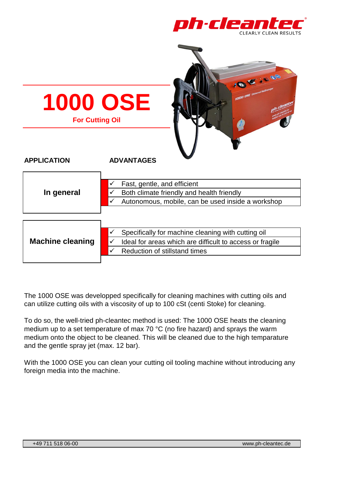

| 000000<br><b>1000 OSE</b> Universal Heit<br><b>1000 OSE</b><br><b>For Cutting Oil</b> |                                                                                                                                                           |
|---------------------------------------------------------------------------------------|-----------------------------------------------------------------------------------------------------------------------------------------------------------|
| <b>APPLICATION</b>                                                                    | <b>ADVANTAGES</b>                                                                                                                                         |
| In general                                                                            | Fast, gentle, and efficient<br>Both climate friendly and health friendly<br>$\checkmark$<br>Autonomous, mobile, can be used inside a workshop             |
| <b>Machine cleaning</b>                                                               | Specifically for machine cleaning with cutting oil<br>✓<br>Ideal for areas which are difficult to access or fragile<br>✓<br>Reduction of stillstand times |

The 1000 OSE was developped specifically for cleaning machines with cutting oils and can utilize cutting oils with a viscosity of up to 100 cSt (centi Stoke) for cleaning.

To do so, the well-tried ph-cleantec method is used: The 1000 OSE heats the cleaning medium up to a set temperature of max 70 °C (no fire hazard) and sprays the warm medium onto the object to be cleaned. This will be cleaned due to the high temparature and the gentle spray jet (max. 12 bar).

With the 1000 OSE you can clean your cutting oil tooling machine without introducing any foreign media into the machine.